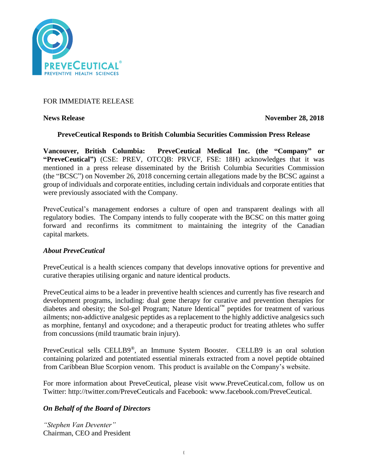

## FOR IMMEDIATE RELEASE

**News Release** November 28, 2018

# **PreveCeutical Responds to British Columbia Securities Commission Press Release**

**Vancouver, British Columbia: PreveCeutical Medical Inc. (the "Company" or "PreveCeutical")** (CSE: PREV, OTCQB: PRVCF, FSE: 18H) acknowledges that it was mentioned in a press release disseminated by the British Columbia Securities Commission (the "BCSC") on November 26, 2018 concerning certain allegations made by the BCSC against a group of individuals and corporate entities, including certain individuals and corporate entities that were previously associated with the Company.

PreveCeutical's management endorses a culture of open and transparent dealings with all regulatory bodies. The Company intends to fully cooperate with the BCSC on this matter going forward and reconfirms its commitment to maintaining the integrity of the Canadian capital markets.

#### *About PreveCeutical*

PreveCeutical is a health sciences company that develops innovative options for preventive and curative therapies utilising organic and nature identical products.

PreveCeutical aims to be a leader in preventive health sciences and currently has five research and development programs, including: dual gene therapy for curative and prevention therapies for diabetes and obesity; the Sol-gel Program; Nature Identical™ peptides for treatment of various ailments; non-addictive analgesic peptides as a replacement to the highly addictive analgesics such as morphine, fentanyl and oxycodone; and a therapeutic product for treating athletes who suffer from concussions (mild traumatic brain injury).

PreveCeutical sells CELLB9®, an Immune System Booster. CELLB9 is an oral solution containing polarized and potentiated essential minerals extracted from a novel peptide obtained from Caribbean Blue Scorpion venom. This product is available on the Company's website.

For more information about PreveCeutical, please visit www.PreveCeutical.com, follow us on Twitter: http://twitter.com/PreveCeuticals and Facebook: www.facebook.com/PreveCeutical.

## *On Behalf of the Board of Directors*

*"Stephen Van Deventer"* Chairman, CEO and President